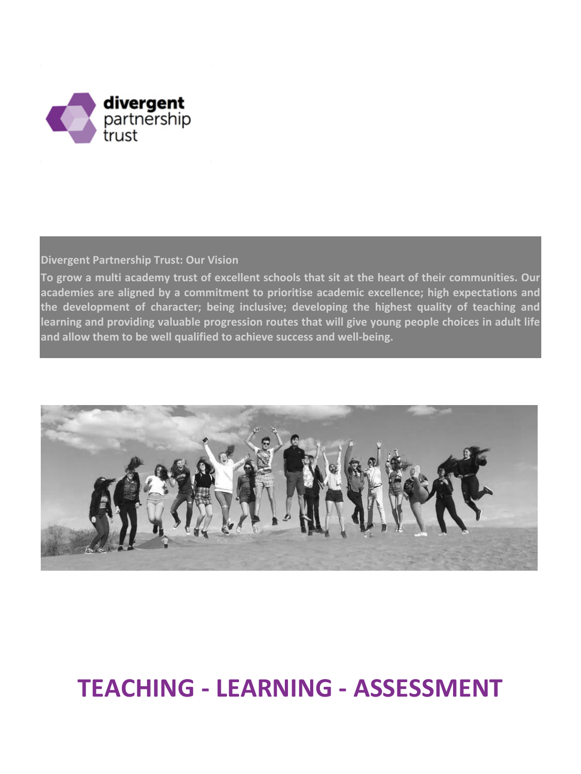

**Divergent Partnership Trust: Our Vision**

**To grow a multi academy trust of excellent schools that sit at the heart of their communities. Our academies are aligned by a commitment to prioritise academic excellence; high expectations and the development of character; being inclusive; developing the highest quality of teaching and learning and providing valuable progression routes that will give young people choices in adult life and allow them to be well qualified to achieve success and well-being.**



# **TEACHING - LEARNING - ASSESSMENT**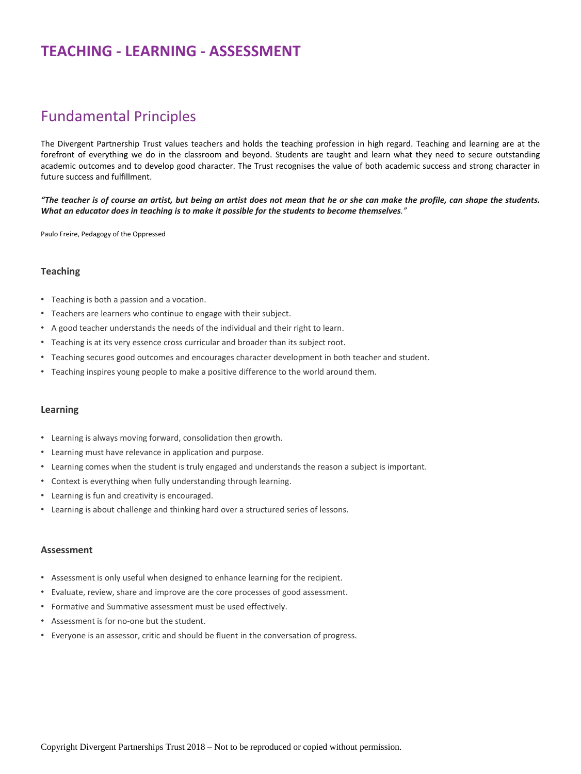### **TEACHING - LEARNING - ASSESSMENT**

### Fundamental Principles

The Divergent Partnership Trust values teachers and holds the teaching profession in high regard. Teaching and learning are at the forefront of everything we do in the classroom and beyond. Students are taught and learn what they need to secure outstanding academic outcomes and to develop good character. The Trust recognises the value of both academic success and strong character in future success and fulfillment.

"The teacher is of course an artist, but being an artist does not mean that he or she can make the profile, can shape the students. What an educator does in teaching is to make it possible for the students to become themselves."

Paulo [Freire,](https://www.goodreads.com/author/show/41108.Paulo_Freire) Pedagogy of the [Oppressed](https://www.goodreads.com/work/quotes/915602)

#### **Teaching**

- Teaching is both a passion and a vocation.
- Teachers are learners who continue to engage with their subject.
- A good teacher understands the needs of the individual and their right to learn.
- Teaching is at its very essence cross curricular and broader than its subject root.
- Teaching secures good outcomes and encourages character development in both teacher and student.
- Teaching inspires young people to make a positive difference to the world around them.

#### **Learning**

- Learning is always moving forward, consolidation then growth.
- Learning must have relevance in application and purpose.
- Learning comes when the student is truly engaged and understands the reason a subject is important.
- Context is everything when fully understanding through learning.
- Learning is fun and creativity is encouraged.
- Learning is about challenge and thinking hard over a structured series of lessons.

#### **Assessment**

- Assessment is only useful when designed to enhance learning for the recipient.
- Evaluate, review, share and improve are the core processes of good assessment.
- Formative and Summative assessment must be used effectively.
- Assessment is for no-one but the student.
- Everyone is an assessor, critic and should be fluent in the conversation of progress.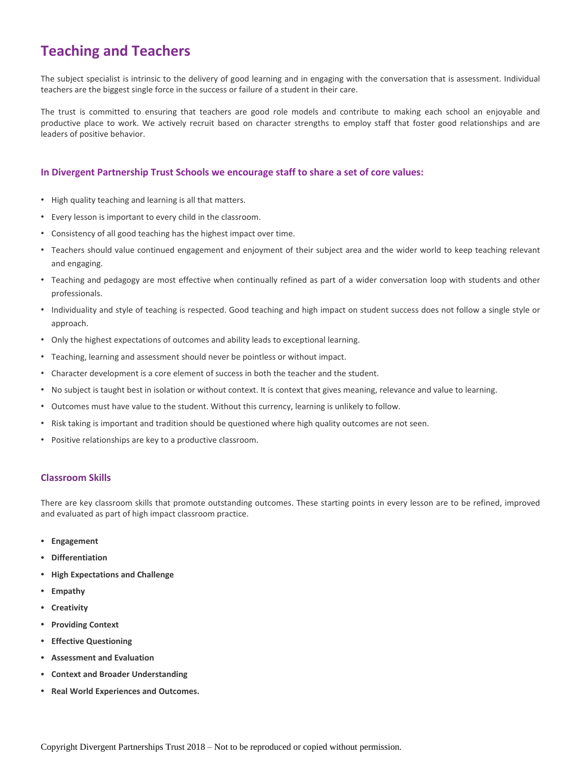## **Teaching and Teachers**

The subject specialist is intrinsic to the delivery of good learning and in engaging with the conversation that is assessment. Individual teachers are the biggest single force in the success or failure of a student in their care.

The trust is committed to ensuring that teachers are good role models and contribute to making each school an enjoyable and productive place to work. We actively recruit based on character strengths to employ staff that foster good relationships and are leaders of positive behavior.

#### **In Divergent Partnership Trust Schools we encourage staff to share a set of core values:**

- High quality teaching and learning is all that matters.
- Every lesson is important to every child in the classroom.
- Consistency of all good teaching has the highest impact over time.
- Teachers should value continued engagement and enjoyment of their subject area and the wider world to keep teaching relevant and engaging.
- Teaching and pedagogy are most effective when continually refined as part of a wider conversation loop with students and other professionals.
- Individuality and style of teaching is respected. Good teaching and high impact on student success does not follow a single style or approach.
- Only the highest expectations of outcomes and ability leads to exceptional learning.
- Teaching, learning and assessment should never be pointless or without impact.
- Character development is a core element of success in both the teacher and the student.
- No subject is taught best in isolation or without context. It is context that gives meaning, relevance and value to learning.
- Outcomes must have value to the student. Without this currency, learning is unlikely to follow.
- Risk taking is important and tradition should be questioned where high quality outcomes are not seen.
- Positive relationships are key to a productive classroom.

#### **Classroom Skills**

There are key classroom skills that promote outstanding outcomes. These starting points in every lesson are to be refined, improved and evaluated as part of high impact classroom practice.

- **Engagement**
- **Differentiation**
- **High Expectations and Challenge**
- **Empathy**
- **Creativity**
- **Providing Context**
- **Effective Questioning**
- **Assessment and Evaluation**
- **Context and Broader Understanding**
- **Real World Experiences and Outcomes.**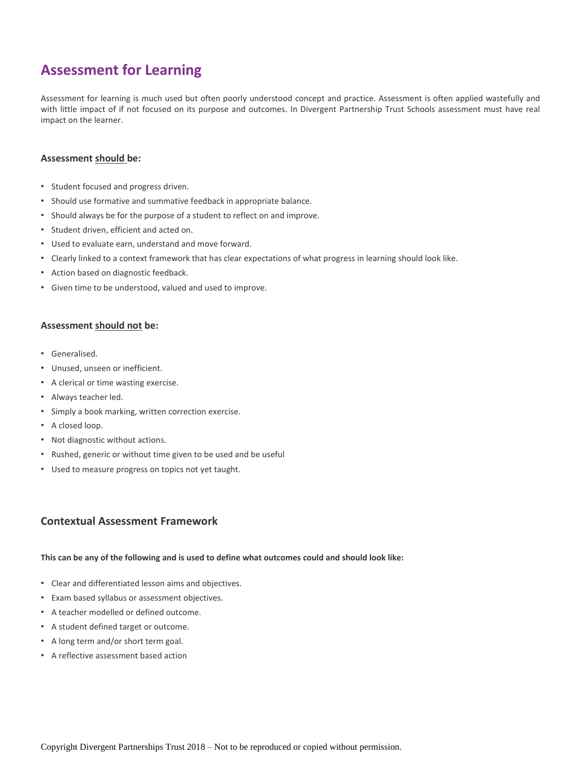### **Assessment for Learning**

Assessment for learning is much used but often poorly understood concept and practice. Assessment is often applied wastefully and with little impact of if not focused on its purpose and outcomes. In Divergent Partnership Trust Schools assessment must have real impact on the learner.

#### **Assessment should be:**

- Student focused and progress driven.
- Should use formative and summative feedback in appropriate balance.
- Should always be for the purpose of a student to reflect on and improve.
- Student driven, efficient and acted on.
- Used to evaluate earn, understand and move forward.
- Clearly linked to a context framework that has clear expectations of what progress in learning should look like.
- Action based on diagnostic feedback.
- Given time to be understood, valued and used to improve.

#### **Assessment should not be:**

- Generalised.
- Unused, unseen or inefficient.
- A clerical or time wasting exercise.
- Always teacher led.
- Simply a book marking, written correction exercise.
- A closed loop.
- Not diagnostic without actions.
- Rushed, generic or without time given to be used and be useful
- Used to measure progress on topics not yet taught.

#### **Contextual Assessment Framework**

#### This can be any of the following and is used to define what outcomes could and should look like:

- Clear and differentiated lesson aims and objectives.
- Exam based syllabus or assessment objectives.
- A teacher modelled or defined outcome.
- A student defined target or outcome.
- A long term and/or short term goal.
- A reflective assessment based action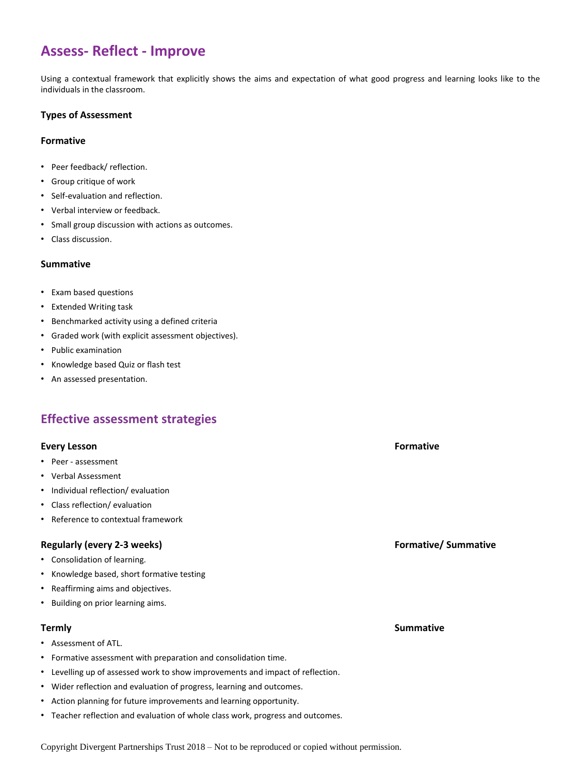### **Assess- Reflect - Improve**

Using a contextual framework that explicitly shows the aims and expectation of what good progress and learning looks like to the individuals in the classroom.

#### **Types of Assessment**

#### **Formative**

- Peer feedback/ reflection.
- Group critique of work
- Self-evaluation and reflection.
- Verbal interview or feedback.
- Small group discussion with actions as outcomes.
- Class discussion.

#### **Summative**

- Exam based questions
- Extended Writing task
- Benchmarked activity using a defined criteria
- Graded work (with explicit assessment objectives).
- Public examination
- Knowledge based Quiz or flash test
- An assessed presentation.

### **Effective assessment strategies**

#### **Every Lesson Formative**

- Peer assessment
- Verbal Assessment
- Individual reflection/ evaluation
- Class reflection/ evaluation
- Reference to contextual framework

#### **Regularly (every 2-3 weeks) Formative/ Summative**

- Consolidation of learning.
- Knowledge based, short formative testing
- Reaffirming aims and objectives.
- Building on prior learning aims.

- Assessment of ATL.
- Formative assessment with preparation and consolidation time.
- Levelling up of assessed work to show improvements and impact of reflection.
- Wider reflection and evaluation of progress, learning and outcomes.
- Action planning for future improvements and learning opportunity.
- Teacher reflection and evaluation of whole class work, progress and outcomes.

**Termly Summative** 

Copyright Divergent Partnerships Trust 2018 – Not to be reproduced or copied without permission.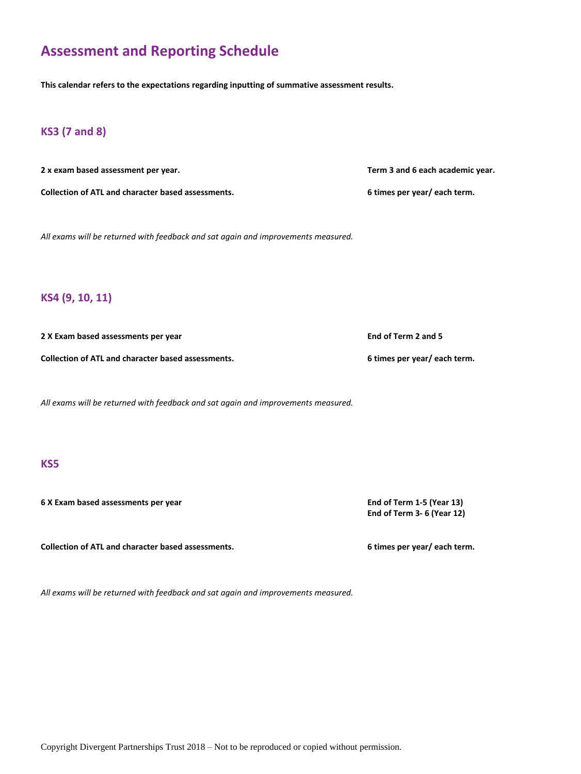### **Assessment and Reporting Schedule**

**This calendar refers to the expectations regarding inputting of summative assessment results.**

### **KS3 (7 and 8)**

**2 x exam based assessment per year. Term 3 and 6 each academic year.**

*All exams will be returned with feedback and sat again and improvements measured.*

#### **KS4 (9, 10, 11)**

**2 X Exam based assessments per year End of Term 2 and 5**

**Collection of ATL and character based assessments. 6 times per year/ each term.**

*All exams will be returned with feedback and sat again and improvements measured.*

#### **KS5**

**6 X Exam based assessments per year End of Term 1-5 (Year 13)**

**Collection of ATL and character based assessments. 6 times per year/ each term.**

*All exams will be returned with feedback and sat again and improvements measured.*

Copyright Divergent Partnerships Trust 2018 – Not to be reproduced or copied without permission.

**Collection of ATL and character based assessments. 6 times per year/ each term.**

**End of Term 3- 6 (Year 12)**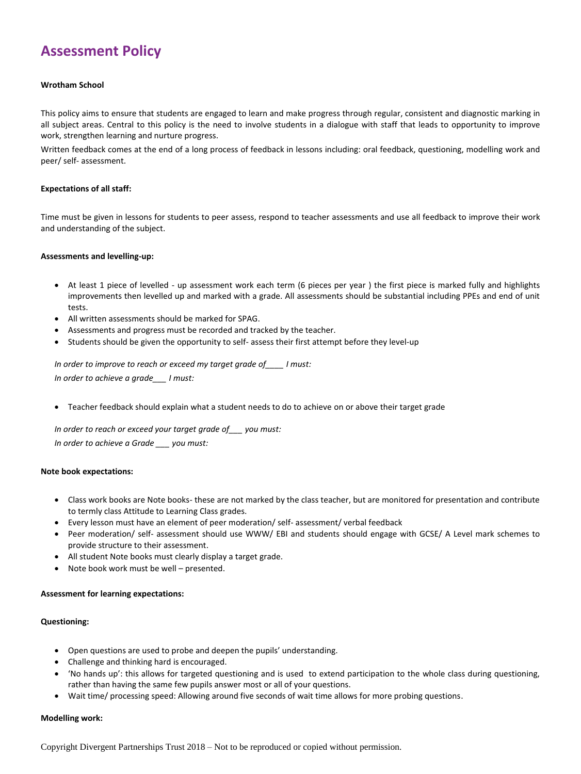### **Assessment Policy**

#### **Wrotham School**

This policy aims to ensure that students are engaged to learn and make progress through regular, consistent and diagnostic marking in all subject areas. Central to this policy is the need to involve students in a dialogue with staff that leads to opportunity to improve work, strengthen learning and nurture progress.

Written feedback comes at the end of a long process of feedback in lessons including: oral feedback, questioning, modelling work and peer/ self- assessment.

#### **Expectations of all staff:**

Time must be given in lessons for students to peer assess, respond to teacher assessments and use all feedback to improve their work and understanding of the subject.

#### **Assessments and levelling-up:**

- At least 1 piece of levelled up assessment work each term (6 pieces per year ) the first piece is marked fully and highlights improvements then levelled up and marked with a grade. All assessments should be substantial including PPEs and end of unit tests.
- All written assessments should be marked for SPAG.
- Assessments and progress must be recorded and tracked by the teacher.
- Students should be given the opportunity to self- assess their first attempt before they level-up

*In order to improve to reach or exceed my target grade of\_\_\_\_ I must:*

*In order to achieve a grade\_\_\_ I must:*

Teacher feedback should explain what a student needs to do to achieve on or above their target grade

*In order to reach or exceed your target grade of\_\_\_ you must: In order to achieve a Grade \_\_\_ you must:*

#### **Note book expectations:**

- Class work books are Note books- these are not marked by the class teacher, but are monitored for presentation and contribute to termly class Attitude to Learning Class grades.
- Every lesson must have an element of peer moderation/ self- assessment/ verbal feedback
- Peer moderation/ self- assessment should use WWW/ EBI and students should engage with GCSE/ A Level mark schemes to provide structure to their assessment.
- All student Note books must clearly display a target grade.
- Note book work must be well presented.

#### **Assessment for learning expectations:**

#### **Questioning:**

- Open questions are used to probe and deepen the pupils' understanding.
- Challenge and thinking hard is encouraged.
- 'No hands up': this allows for targeted questioning and is used to extend participation to the whole class during questioning, rather than having the same few pupils answer most or all of your questions.
- Wait time/ processing speed: Allowing around five seconds of wait time allows for more probing questions.

#### **Modelling work:**

Copyright Divergent Partnerships Trust 2018 – Not to be reproduced or copied without permission.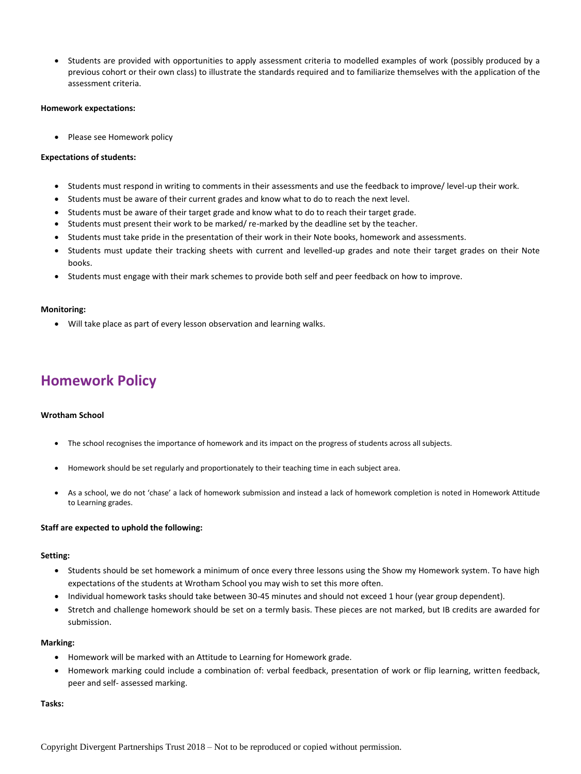Students are provided with opportunities to apply assessment criteria to modelled examples of work (possibly produced by a previous cohort or their own class) to illustrate the standards required and to familiarize themselves with the application of the assessment criteria.

#### **Homework expectations:**

• Please see Homework policy

#### **Expectations of students:**

- Students must respond in writing to comments in their assessments and use the feedback to improve/ level-up their work.
- Students must be aware of their current grades and know what to do to reach the next level.
- Students must be aware of their target grade and know what to do to reach their target grade.
- Students must present their work to be marked/ re-marked by the deadline set by the teacher.
- Students must take pride in the presentation of their work in their Note books, homework and assessments.
- Students must update their tracking sheets with current and levelled-up grades and note their target grades on their Note books.
- Students must engage with their mark schemes to provide both self and peer feedback on how to improve.

#### **Monitoring:**

Will take place as part of every lesson observation and learning walks.

### **Homework Policy**

#### **Wrotham School**

- The school recognises the importance of homework and its impact on the progress of students across all subjects.
- Homework should be set regularly and proportionately to their teaching time in each subject area.
- As a school, we do not 'chase' a lack of homework submission and instead a lack of homework completion is noted in Homework Attitude to Learning grades.

#### **Staff are expected to uphold the following:**

#### **Setting:**

- Students should be set homework a minimum of once every three lessons using the Show my Homework system. To have high expectations of the students at Wrotham School you may wish to set this more often.
- Individual homework tasks should take between 30-45 minutes and should not exceed 1 hour (year group dependent).
- Stretch and challenge homework should be set on a termly basis. These pieces are not marked, but IB credits are awarded for submission.

#### **Marking:**

- Homework will be marked with an Attitude to Learning for Homework grade.
- Homework marking could include a combination of: verbal feedback, presentation of work or flip learning, written feedback, peer and self- assessed marking.

#### **Tasks:**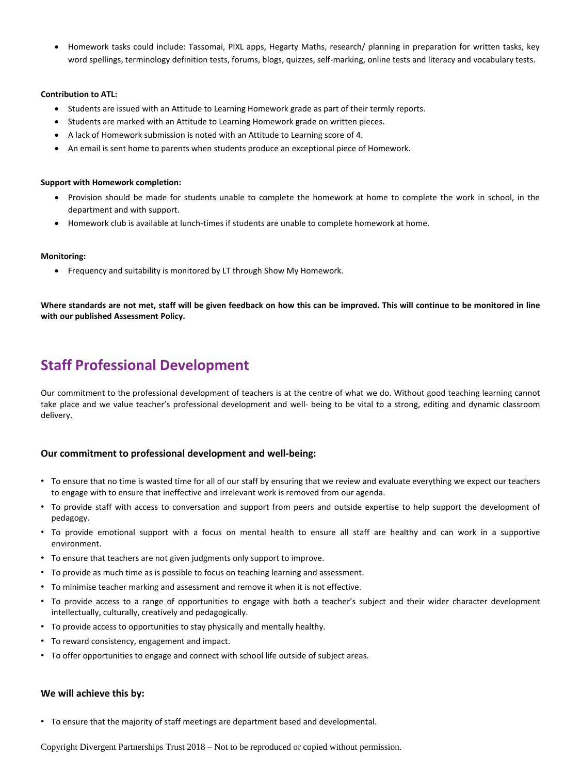Homework tasks could include: Tassomai, PIXL apps, Hegarty Maths, research/ planning in preparation for written tasks, key word spellings, terminology definition tests, forums, blogs, quizzes, self-marking, online tests and literacy and vocabulary tests.

#### **Contribution to ATL:**

- Students are issued with an Attitude to Learning Homework grade as part of their termly reports.
- Students are marked with an Attitude to Learning Homework grade on written pieces.
- A lack of Homework submission is noted with an Attitude to Learning score of 4.
- An email is sent home to parents when students produce an exceptional piece of Homework.

#### **Support with Homework completion:**

- Provision should be made for students unable to complete the homework at home to complete the work in school, in the department and with support.
- Homework club is available at lunch-times if students are unable to complete homework at home.

#### **Monitoring:**

Frequency and suitability is monitored by LT through Show My Homework.

Where standards are not met, staff will be given feedback on how this can be improved. This will continue to be monitored in line **with our published Assessment Policy.**

### **Staff Professional Development**

Our commitment to the professional development of teachers is at the centre of what we do. Without good teaching learning cannot take place and we value teacher's professional development and well- being to be vital to a strong, editing and dynamic classroom delivery.

#### **Our commitment to professional development and well-being:**

- To ensure that no time is wasted time for all of our staff by ensuring that we review and evaluate everything we expect our teachers to engage with to ensure that ineffective and irrelevant work is removed from our agenda.
- To provide staff with access to conversation and support from peers and outside expertise to help support the development of pedagogy.
- To provide emotional support with a focus on mental health to ensure all staff are healthy and can work in a supportive environment.
- To ensure that teachers are not given judgments only support to improve.
- To provide as much time as is possible to focus on teaching learning and assessment.
- To minimise teacher marking and assessment and remove it when it is not effective.
- To provide access to a range of opportunities to engage with both a teacher's subject and their wider character development intellectually, culturally, creatively and pedagogically.
- To provide access to opportunities to stay physically and mentally healthy.
- To reward consistency, engagement and impact.
- To offer opportunities to engage and connect with school life outside of subject areas.

#### **We will achieve this by:**

• To ensure that the majority of staff meetings are department based and developmental.

Copyright Divergent Partnerships Trust 2018 – Not to be reproduced or copied without permission.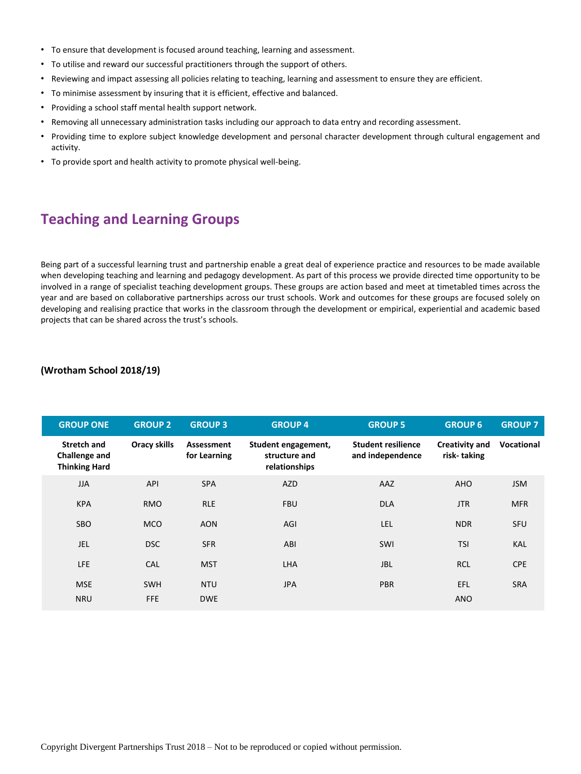- To ensure that development is focused around teaching, learning and assessment.
- To utilise and reward our successful practitioners through the support of others.
- Reviewing and impact assessing all policies relating to teaching, learning and assessment to ensure they are efficient.
- To minimise assessment by insuring that it is efficient, effective and balanced.
- Providing a school staff mental health support network.
- Removing all unnecessary administration tasks including our approach to data entry and recording assessment.
- Providing time to explore subject knowledge development and personal character development through cultural engagement and activity.
- To provide sport and health activity to promote physical well-being.

### **Teaching and Learning Groups**

Being part of a successful learning trust and partnership enable a great deal of experience practice and resources to be made available when developing teaching and learning and pedagogy development. As part of this process we provide directed time opportunity to be involved in a range of specialist teaching development groups. These groups are action based and meet at timetabled times across the year and are based on collaborative partnerships across our trust schools. Work and outcomes for these groups are focused solely on developing and realising practice that works in the classroom through the development or empirical, experiential and academic based projects that can be shared across the trust's schools.

#### **(Wrotham School 2018/19)**

| <b>GROUP ONE</b>                                                   | <b>GROUP 2</b>           | <b>GROUP 3</b>             | <b>GROUP 4</b>                                        | <b>GROUP 5</b>                                | <b>GROUP 6</b>                       | <b>GROUP 7</b>    |
|--------------------------------------------------------------------|--------------------------|----------------------------|-------------------------------------------------------|-----------------------------------------------|--------------------------------------|-------------------|
| <b>Stretch and</b><br><b>Challenge and</b><br><b>Thinking Hard</b> | <b>Oracy skills</b>      | Assessment<br>for Learning | Student engagement,<br>structure and<br>relationships | <b>Student resilience</b><br>and independence | <b>Creativity and</b><br>risk-taking | <b>Vocational</b> |
| <b>JJA</b>                                                         | <b>API</b>               | <b>SPA</b>                 | <b>AZD</b>                                            | AAZ                                           | <b>AHO</b>                           | <b>JSM</b>        |
| <b>KPA</b>                                                         | <b>RMO</b>               | <b>RLE</b>                 | <b>FBU</b>                                            | <b>DLA</b>                                    | <b>JTR</b>                           | <b>MFR</b>        |
| <b>SBO</b>                                                         | <b>MCO</b>               | <b>AON</b>                 | <b>AGI</b>                                            | LEL                                           | <b>NDR</b>                           | <b>SFU</b>        |
| JEL                                                                | <b>DSC</b>               | <b>SFR</b>                 | ABI                                                   | SWI                                           | <b>TSI</b>                           | <b>KAL</b>        |
| LFE                                                                | <b>CAL</b>               | <b>MST</b>                 | <b>LHA</b>                                            | <b>JBL</b>                                    | <b>RCL</b>                           | <b>CPE</b>        |
| <b>MSE</b><br><b>NRU</b>                                           | <b>SWH</b><br><b>FFE</b> | <b>NTU</b><br><b>DWE</b>   | <b>JPA</b>                                            | <b>PBR</b>                                    | <b>EFL</b><br><b>ANO</b>             | <b>SRA</b>        |